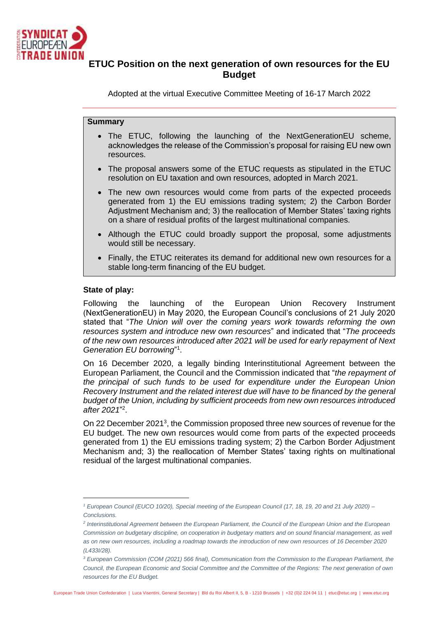

# **ETUC Position on the next generation of own resources for the EU Budget**

Adopted at the virtual Executive Committee Meeting of 16-17 March 2022

# **Summary**

- The ETUC, following the launching of the NextGenerationEU scheme, acknowledges the release of the Commission's proposal for raising EU new own resources.
- The proposal answers some of the ETUC requests as stipulated in the ETUC resolution on EU taxation and own resources, adopted in March 2021.
- The new own resources would come from parts of the expected proceeds generated from 1) the EU emissions trading system; 2) the Carbon Border Adjustment Mechanism and; 3) the reallocation of Member States' taxing rights on a share of residual profits of the largest multinational companies.
- Although the ETUC could broadly support the proposal, some adjustments would still be necessary.
- Finally, the ETUC reiterates its demand for additional new own resources for a stable long-term financing of the EU budget.

### **State of play:**

Following the launching of the European Union Recovery Instrument (NextGenerationEU) in May 2020, the European Council's conclusions of 21 July 2020 stated that "*The Union will over the coming years work towards reforming the own resources system and introduce new own resources*" and indicated that "*The proceeds of the new own resources introduced after 2021 will be used for early repayment of Next Generation EU borrowing*" 1 .

On 16 December 2020, a legally binding Interinstitutional Agreement between the European Parliament, the Council and the Commission indicated that "*the repayment of the principal of such funds to be used for expenditure under the European Union Recovery Instrument and the related interest due will have to be financed by the general budget of the Union, including by sufficient proceeds from new own resources introduced after 2021*" 2 .

On 22 December 2021<sup>3</sup>, the Commission proposed three new sources of revenue for the EU budget. The new own resources would come from parts of the expected proceeds generated from 1) the EU emissions trading system; 2) the Carbon Border Adjustment Mechanism and; 3) the reallocation of Member States' taxing rights on multinational residual of the largest multinational companies.

*<sup>1</sup> European Council (EUCO 10/20), Special meeting of the European Council (17, 18, 19, 20 and 21 July 2020) – Conclusions.*

<sup>&</sup>lt;sup>2</sup> Interinstitutional Agreement between the European Parliament, the Council of the European Union and the European *Commission on budgetary discipline, on cooperation in budgetary matters and on sound financial management, as well as on new own resources, including a roadmap towards the introduction of new own resources of 16 December 2020 (L433I/28).*

*<sup>3</sup> European Commission (COM (2021) 566 final), Communication from the Commission to the European Parliament, the Council, the European Economic and Social Committee and the Committee of the Regions: The next generation of own resources for the EU Budget.*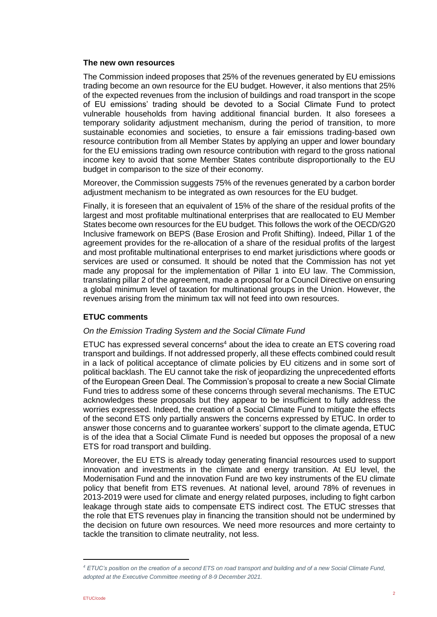#### **The new own resources**

The Commission indeed proposes that 25% of the revenues generated by EU emissions trading become an own resource for the EU budget. However, it also mentions that 25% of the expected revenues from the inclusion of buildings and road transport in the scope of EU emissions' trading should be devoted to a Social Climate Fund to protect vulnerable households from having additional financial burden. It also foresees a temporary solidarity adjustment mechanism, during the period of transition, to more sustainable economies and societies, to ensure a fair emissions trading-based own resource contribution from all Member States by applying an upper and lower boundary for the EU emissions trading own resource contribution with regard to the gross national income key to avoid that some Member States contribute disproportionally to the EU budget in comparison to the size of their economy.

Moreover, the Commission suggests 75% of the revenues generated by a carbon border adjustment mechanism to be integrated as own resources for the EU budget.

Finally, it is foreseen that an equivalent of 15% of the share of the residual profits of the largest and most profitable multinational enterprises that are reallocated to EU Member States become own resources for the EU budget. This follows the work of the OECD/G20 Inclusive framework on BEPS (Base Erosion and Profit Shifting). Indeed, Pillar 1 of the agreement provides for the re-allocation of a share of the residual profits of the largest and most profitable multinational enterprises to end market jurisdictions where goods or services are used or consumed. It should be noted that the Commission has not yet made any proposal for the implementation of Pillar 1 into EU law. The Commission, translating pillar 2 of the agreement, made a proposal for a Council Directive on ensuring a global minimum level of taxation for multinational groups in the Union. However, the revenues arising from the minimum tax will not feed into own resources.

# **ETUC comments**

### *On the Emission Trading System and the Social Climate Fund*

 $ETUC$  has expressed several concerns<sup>4</sup> about the idea to create an ETS covering road transport and buildings. If not addressed properly, all these effects combined could result in a lack of political acceptance of climate policies by EU citizens and in some sort of political backlash. The EU cannot take the risk of jeopardizing the unprecedented efforts of the European Green Deal. The Commission's proposal to create a new Social Climate Fund tries to address some of these concerns through several mechanisms. The ETUC acknowledges these proposals but they appear to be insufficient to fully address the worries expressed. Indeed, the creation of a Social Climate Fund to mitigate the effects of the second ETS only partially answers the concerns expressed by ETUC. In order to answer those concerns and to guarantee workers' support to the climate agenda, ETUC is of the idea that a Social Climate Fund is needed but opposes the proposal of a new ETS for road transport and building.

Moreover, the EU ETS is already today generating financial resources used to support innovation and investments in the climate and energy transition. At EU level, the Modernisation Fund and the innovation Fund are two key instruments of the EU climate policy that benefit from ETS revenues. At national level, around 78% of revenues in 2013-2019 were used for climate and energy related purposes, including to fight carbon leakage through state aids to compensate ETS indirect cost. The ETUC stresses that the role that ETS revenues play in financing the transition should not be undermined by the decision on future own resources. We need more resources and more certainty to tackle the transition to climate neutrality, not less.

*<sup>4</sup> ETUC's position on the creation of a second ETS on road transport and building and of a new Social Climate Fund, adopted at the Executive Committee meeting of 8-9 December 2021.*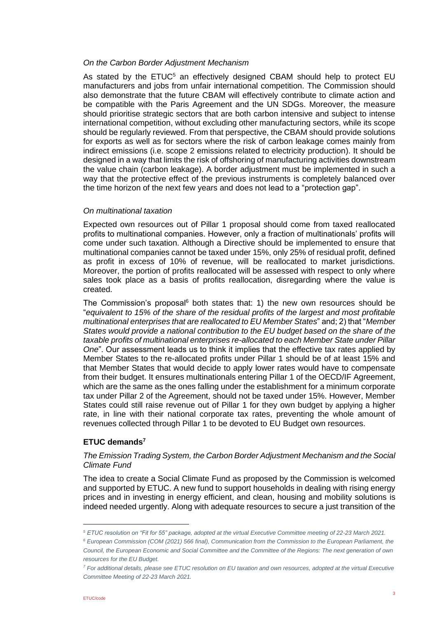### *On the Carbon Border Adjustment Mechanism*

As stated by the  $ETUC<sup>5</sup>$  an effectively designed CBAM should help to protect EU manufacturers and jobs from unfair international competition. The Commission should also demonstrate that the future CBAM will effectively contribute to climate action and be compatible with the Paris Agreement and the UN SDGs. Moreover, the measure should prioritise strategic sectors that are both carbon intensive and subject to intense international competition, without excluding other manufacturing sectors, while its scope should be regularly reviewed. From that perspective, the CBAM should provide solutions for exports as well as for sectors where the risk of carbon leakage comes mainly from indirect emissions (i.e. scope 2 emissions related to electricity production). It should be designed in a way that limits the risk of offshoring of manufacturing activities downstream the value chain (carbon leakage). A border adjustment must be implemented in such a way that the protective effect of the previous instruments is completely balanced over the time horizon of the next few years and does not lead to a "protection gap".

### *On multinational taxation*

Expected own resources out of Pillar 1 proposal should come from taxed reallocated profits to multinational companies. However, only a fraction of multinationals' profits will come under such taxation. Although a Directive should be implemented to ensure that multinational companies cannot be taxed under 15%, only 25% of residual profit, defined as profit in excess of 10% of revenue, will be reallocated to market jurisdictions. Moreover, the portion of profits reallocated will be assessed with respect to only where sales took place as a basis of profits reallocation, disregarding where the value is created.

The Commission's proposal $6$  both states that: 1) the new own resources should be "*equivalent to 15% of the share of the residual profits of the largest and most profitable multinational enterprises that are reallocated to EU Member States*" and; 2) that "*Member States would provide a national contribution to the EU budget based on the share of the taxable profits of multinational enterprises re-allocated to each Member State under Pillar One*". Our assessment leads us to think it implies that the effective tax rates applied by Member States to the re-allocated profits under Pillar 1 should be of at least 15% and that Member States that would decide to apply lower rates would have to compensate from their budget. It ensures multinationals entering Pillar 1 of the OECD/IF Agreement, which are the same as the ones falling under the establishment for a minimum corporate tax under Pillar 2 of the Agreement, should not be taxed under 15%. However, Member States could still raise revenue out of Pillar 1 for they own budget by applying a higher rate, in line with their national corporate tax rates, preventing the whole amount of revenues collected through Pillar 1 to be devoted to EU Budget own resources.

# **ETUC demands<sup>7</sup>**

### *The Emission Trading System, the Carbon Border Adjustment Mechanism and the Social Climate Fund*

The idea to create a Social Climate Fund as proposed by the Commission is welcomed and supported by ETUC. A new fund to support households in dealing with rising energy prices and in investing in energy efficient, and clean, housing and mobility solutions is indeed needed urgently. Along with adequate resources to secure a just transition of the

*<sup>5</sup> ETUC resolution on "Fit for 55" package, adopted at the virtual Executive Committee meeting of 22-23 March 2021.*

*<sup>6</sup> European Commission (COM (2021) 566 final), Communication from the Commission to the European Parliament, the Council, the European Economic and Social Committee and the Committee of the Regions: The next generation of own resources for the EU Budget.*

*<sup>7</sup> For additional details, please see ETUC resolution on EU taxation and own resources, adopted at the virtual Executive Committee Meeting of 22-23 March 2021.*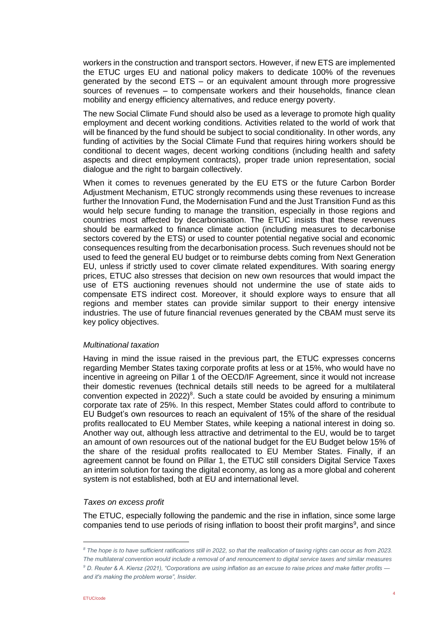workers in the construction and transport sectors. However, if new ETS are implemented the ETUC urges EU and national policy makers to dedicate 100% of the revenues generated by the second ETS – or an equivalent amount through more progressive sources of revenues – to compensate workers and their households, finance clean mobility and energy efficiency alternatives, and reduce energy poverty.

The new Social Climate Fund should also be used as a leverage to promote high quality employment and decent working conditions. Activities related to the world of work that will be financed by the fund should be subject to social conditionality. In other words, any funding of activities by the Social Climate Fund that requires hiring workers should be conditional to decent wages, decent working conditions (including health and safety aspects and direct employment contracts), proper trade union representation, social dialogue and the right to bargain collectively.

When it comes to revenues generated by the EU ETS or the future Carbon Border Adjustment Mechanism, ETUC strongly recommends using these revenues to increase further the Innovation Fund, the Modernisation Fund and the Just Transition Fund as this would help secure funding to manage the transition, especially in those regions and countries most affected by decarbonisation. The ETUC insists that these revenues should be earmarked to finance climate action (including measures to decarbonise sectors covered by the ETS) or used to counter potential negative social and economic consequences resulting from the decarbonisation process. Such revenues should not be used to feed the general EU budget or to reimburse debts coming from Next Generation EU, unless if strictly used to cover climate related expenditures. With soaring energy prices, ETUC also stresses that decision on new own resources that would impact the use of ETS auctioning revenues should not undermine the use of state aids to compensate ETS indirect cost. Moreover, it should explore ways to ensure that all regions and member states can provide similar support to their energy intensive industries. The use of future financial revenues generated by the CBAM must serve its key policy objectives.

### *Multinational taxation*

Having in mind the issue raised in the previous part, the ETUC expresses concerns regarding Member States taxing corporate profits at less or at 15%, who would have no incentive in agreeing on Pillar 1 of the OECD/IF Agreement, since it would not increase their domestic revenues (technical details still needs to be agreed for a multilateral convention expected in  $2022)^8$ . Such a state could be avoided by ensuring a minimum corporate tax rate of 25%. In this respect, Member States could afford to contribute to EU Budget's own resources to reach an equivalent of 15% of the share of the residual profits reallocated to EU Member States, while keeping a national interest in doing so. Another way out, although less attractive and detrimental to the EU, would be to target an amount of own resources out of the national budget for the EU Budget below 15% of the share of the residual profits reallocated to EU Member States. Finally, if an agreement cannot be found on Pillar 1, the ETUC still considers Digital Service Taxes an interim solution for taxing the digital economy, as long as a more global and coherent system is not established, both at EU and international level.

### *Taxes on excess profit*

The ETUC, especially following the pandemic and the rise in inflation, since some large companies tend to use periods of rising inflation to boost their profit margins<sup>9</sup>, and since

*<sup>8</sup> The hope is to have sufficient ratifications still in 2022, so that the reallocation of taxing rights can occur as from 2023. The multilateral convention would include a removal of and renouncement to digital service taxes and similar measures <sup>9</sup> D. Reuter & A. Kiersz (2021), "Corporations are using inflation as an excuse to raise prices and make fatter profits and it's making the problem worse", Insider.*